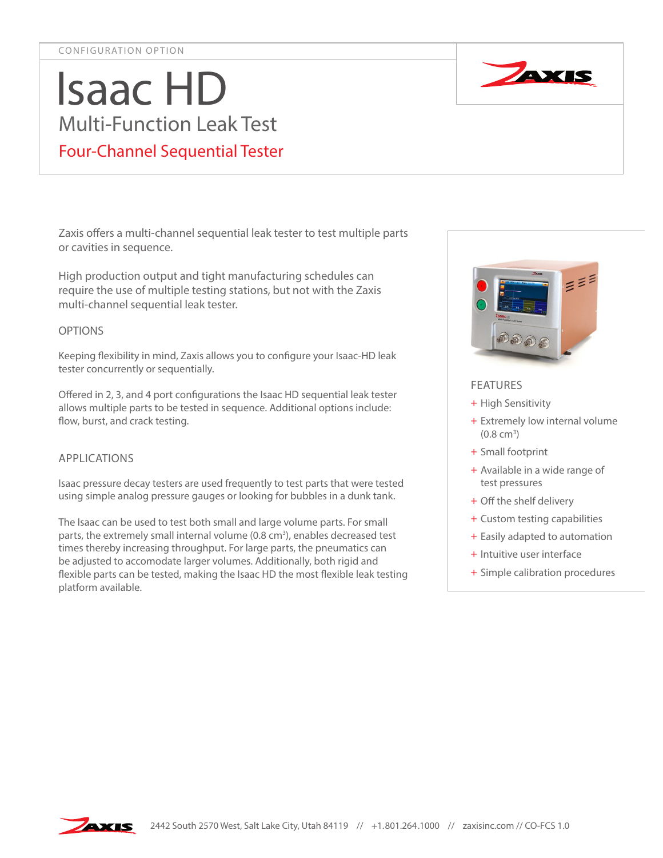# Isaac HD Multi-Function Leak Test Four-Channel Sequential Tester

Zaxis offers a multi-channel sequential leak tester to test multiple parts or cavities in sequence.

High production output and tight manufacturing schedules can require the use of multiple testing stations, but not with the Zaxis multi-channel sequential leak tester.

### OPTIONS

Keeping flexibility in mind, Zaxis allows you to configure your Isaac-HD leak tester concurrently or sequentially.

Offered in 2, 3, and 4 port configurations the Isaac HD sequential leak tester allows multiple parts to be tested in sequence. Additional options include: flow, burst, and crack testing.

# APPLICATIONS

Isaac pressure decay testers are used frequently to test parts that were tested using simple analog pressure gauges or looking for bubbles in a dunk tank.

The Isaac can be used to test both small and large volume parts. For small parts, the extremely small internal volume (0.8 cm<sup>3</sup>), enables decreased test times thereby increasing throughput. For large parts, the pneumatics can be adjusted to accomodate larger volumes. Additionally, both rigid and flexible parts can be tested, making the Isaac HD the most flexible leak testing platform available.



## FEATURES

- + High Sensitivity
- + Extremely low internal volume  $(0.8 \text{ cm}^3)$
- + Small footprint
- + Available in a wide range of test pressures
- + Off the shelf delivery
- + Custom testing capabilities
- + Easily adapted to automation
- + Intuitive user interface
- + Simple calibration procedures